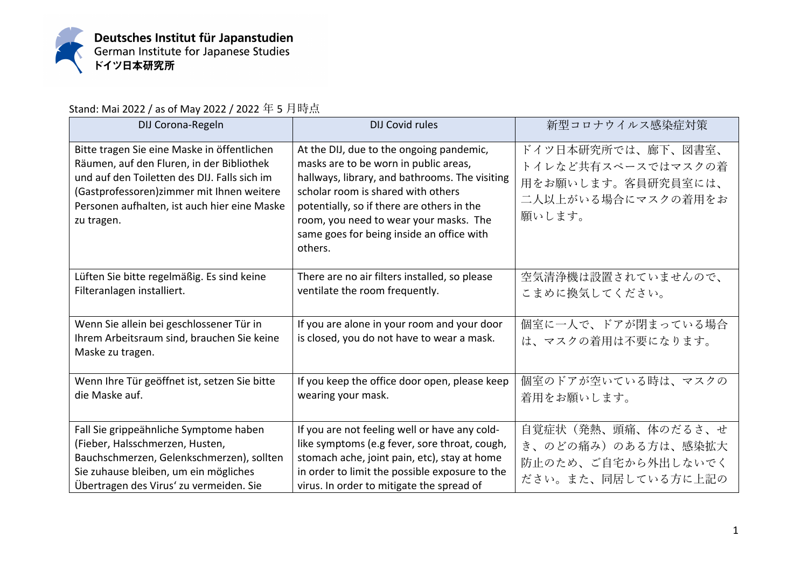

Stand: Mai 2022 / as of May 2022 / 2022 年 5 月時点

| DIJ Corona-Regeln                                                                                                                                                                                                                                    | <b>DIJ Covid rules</b>                                                                                                                                                                                                                                                                                                    | 新型コロナウイルス感染症対策                                                                                 |
|------------------------------------------------------------------------------------------------------------------------------------------------------------------------------------------------------------------------------------------------------|---------------------------------------------------------------------------------------------------------------------------------------------------------------------------------------------------------------------------------------------------------------------------------------------------------------------------|------------------------------------------------------------------------------------------------|
| Bitte tragen Sie eine Maske in öffentlichen<br>Räumen, auf den Fluren, in der Bibliothek<br>und auf den Toiletten des DIJ. Falls sich im<br>(Gastprofessoren) zimmer mit Ihnen weitere<br>Personen aufhalten, ist auch hier eine Maske<br>zu tragen. | At the DIJ, due to the ongoing pandemic,<br>masks are to be worn in public areas,<br>hallways, library, and bathrooms. The visiting<br>scholar room is shared with others<br>potentially, so if there are others in the<br>room, you need to wear your masks. The<br>same goes for being inside an office with<br>others. | ドイツ日本研究所では、廊下、図書室、<br>トイレなど共有スペースではマスクの着<br>用をお願いします。客員研究員室には、<br>二人以上がいる場合にマスクの着用をお<br>願いします。 |
| Lüften Sie bitte regelmäßig. Es sind keine<br>Filteranlagen installiert.                                                                                                                                                                             | There are no air filters installed, so please<br>ventilate the room frequently.                                                                                                                                                                                                                                           | 空気清浄機は設置されていませんので、<br>こまめに換気してください。                                                            |
| Wenn Sie allein bei geschlossener Tür in<br>Ihrem Arbeitsraum sind, brauchen Sie keine<br>Maske zu tragen.                                                                                                                                           | If you are alone in your room and your door<br>is closed, you do not have to wear a mask.                                                                                                                                                                                                                                 | 個室に一人で、ドアが閉まっている場合<br>は、マスクの着用は不要になります。                                                        |
| Wenn Ihre Tür geöffnet ist, setzen Sie bitte<br>die Maske auf.                                                                                                                                                                                       | If you keep the office door open, please keep<br>wearing your mask.                                                                                                                                                                                                                                                       | 個室のドアが空いている時は、マスクの<br>着用をお願いします。                                                               |
| Fall Sie grippeähnliche Symptome haben<br>(Fieber, Halsschmerzen, Husten,<br>Bauchschmerzen, Gelenkschmerzen), sollten<br>Sie zuhause bleiben, um ein mögliches<br>Übertragen des Virus' zu vermeiden. Sie                                           | If you are not feeling well or have any cold-<br>like symptoms (e.g fever, sore throat, cough,<br>stomach ache, joint pain, etc), stay at home<br>in order to limit the possible exposure to the<br>virus. In order to mitigate the spread of                                                                             | 自覚症状(発熱、頭痛、体のだるさ、せ<br>き、のどの痛み)のある方は、感染拡大<br>防止のため、ご自宅から外出しないでく<br>ださい。また、同居している方に上記の           |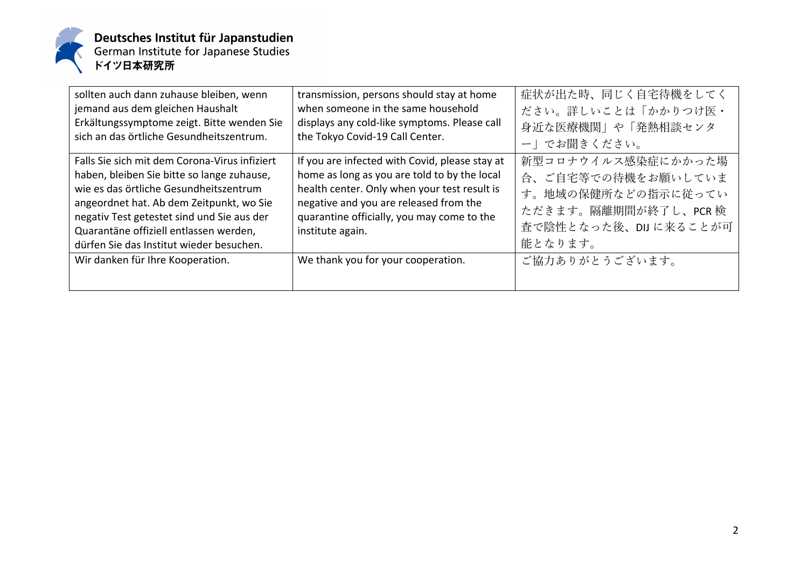

| sollten auch dann zuhause bleiben, wenn<br>jemand aus dem gleichen Haushalt<br>Erkältungssymptome zeigt. Bitte wenden Sie<br>sich an das örtliche Gesundheitszentrum.                                                                                                                                                 | transmission, persons should stay at home<br>when someone in the same household<br>displays any cold-like symptoms. Please call<br>the Tokyo Covid-19 Call Center.                                                                                         | 症状が出た時、同じく自宅待機をしてく<br>ださい。詳しいことは「かかりつけ医・<br>身近な医療機関」や「発熱相談センタ<br>一」でお聞きください。                                              |
|-----------------------------------------------------------------------------------------------------------------------------------------------------------------------------------------------------------------------------------------------------------------------------------------------------------------------|------------------------------------------------------------------------------------------------------------------------------------------------------------------------------------------------------------------------------------------------------------|---------------------------------------------------------------------------------------------------------------------------|
| Falls Sie sich mit dem Corona-Virus infiziert<br>haben, bleiben Sie bitte so lange zuhause,<br>wie es das örtliche Gesundheitszentrum<br>angeordnet hat. Ab dem Zeitpunkt, wo Sie<br>negativ Test getestet sind und Sie aus der<br>Quarantäne offiziell entlassen werden,<br>dürfen Sie das Institut wieder besuchen. | If you are infected with Covid, please stay at<br>home as long as you are told to by the local<br>health center. Only when your test result is<br>negative and you are released from the<br>quarantine officially, you may come to the<br>institute again. | 新型コロナウイルス感染症にかかった場<br>合、ご自宅等での待機をお願いしていま<br>す。地域の保健所などの指示に従ってい<br>ただきます。隔離期間が終了し、PCR検<br>査で陰性となった後、DIJ に来ることが可<br>能となります。 |
| Wir danken für Ihre Kooperation.                                                                                                                                                                                                                                                                                      | We thank you for your cooperation.                                                                                                                                                                                                                         | ご協力ありがとうございます。                                                                                                            |